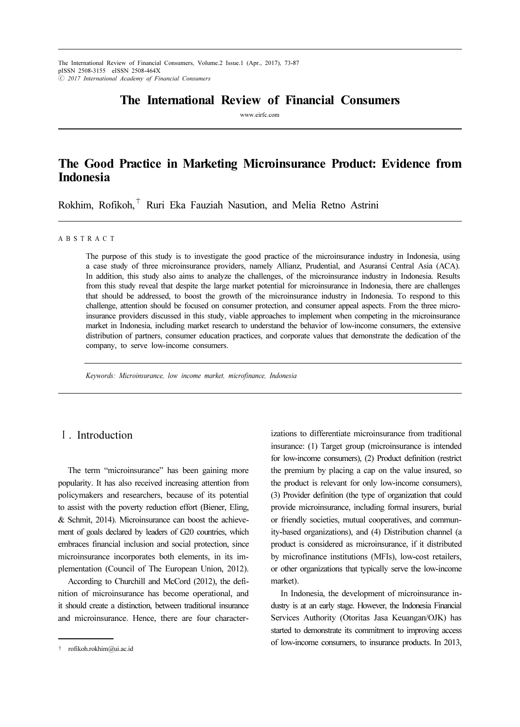The International Review of Financial Consumers, Volume.2 Issue.1 (Apr., 2017), 73-87 pISSN 2508-3155 eISSN 2508-464X ⓒ 2017 International Academy of Financial Consumers

# The International Review of Financial Consumers

www.eirfc.com

# The Good Practice in Marketing Microinsurance Product: Evidence from Indonesia

Rokhim, Rofikoh, $^{\dagger}$  Ruri Eka Fauziah Nasution, and Melia Retno Astrini

### A B S T R A C T

The purpose of this study is to investigate the good practice of the microinsurance industry in Indonesia, using a case study of three microinsurance providers, namely Allianz, Prudential, and Asuransi Central Asia (ACA). In addition, this study also aims to analyze the challenges, of the microinsurance industry in Indonesia. Results from this study reveal that despite the large market potential for microinsurance in Indonesia, there are challenges that should be addressed, to boost the growth of the microinsurance industry in Indonesia. To respond to this challenge, attention should be focused on consumer protection, and consumer appeal aspects. From the three microinsurance providers discussed in this study, viable approaches to implement when competing in the microinsurance market in Indonesia, including market research to understand the behavior of low-income consumers, the extensive distribution of partners, consumer education practices, and corporate values that demonstrate the dedication of the company, to serve low-income consumers.

Keywords: Microinsurance, low income market, microfinance, Indonesia

## Ⅰ. Introduction

The term "microinsurance" has been gaining more popularity. It has also received increasing attention from policymakers and researchers, because of its potential to assist with the poverty reduction effort (Biener, Eling, & Schmit, 2014). Microinsurance can boost the achievement of goals declared by leaders of G20 countries, which embraces financial inclusion and social protection, since microinsurance incorporates both elements, in its implementation (Council of The European Union, 2012).

According to Churchill and McCord (2012), the definition of microinsurance has become operational, and it should create a distinction, between traditional insurance and microinsurance. Hence, there are four characterizations to differentiate microinsurance from traditional insurance: (1) Target group (microinsurance is intended for low-income consumers), (2) Product definition (restrict the premium by placing a cap on the value insured, so the product is relevant for only low-income consumers), (3) Provider definition (the type of organization that could provide microinsurance, including formal insurers, burial or friendly societies, mutual cooperatives, and community-based organizations), and (4) Distribution channel (a product is considered as microinsurance, if it distributed by microfinance institutions (MFIs), low-cost retailers, or other organizations that typically serve the low-income market).

In Indonesia, the development of microinsurance industry is at an early stage. However, the Indonesia Financial Services Authority (Otoritas Jasa Keuangan/OJK) has started to demonstrate its commitment to improving access of low-income consumers, to insurance products. In 2013,

<sup>†</sup> rofikoh.rokhim@ui.ac.id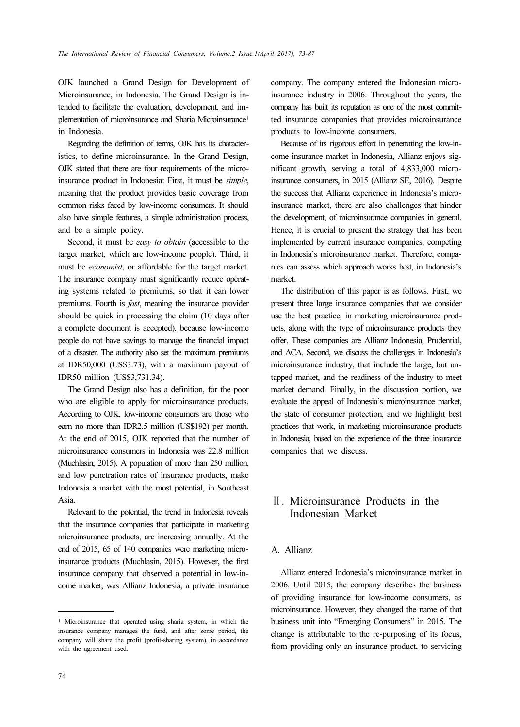OJK launched a Grand Design for Development of Microinsurance, in Indonesia. The Grand Design is intended to facilitate the evaluation, development, and implementation of microinsurance and Sharia Microinsurance<sup>1</sup> in Indonesia.

Regarding the definition of terms, OJK has its characteristics, to define microinsurance. In the Grand Design, OJK stated that there are four requirements of the microinsurance product in Indonesia: First, it must be simple, meaning that the product provides basic coverage from common risks faced by low-income consumers. It should also have simple features, a simple administration process, and be a simple policy.

Second, it must be easy to obtain (accessible to the target market, which are low-income people). Third, it must be economist, or affordable for the target market. The insurance company must significantly reduce operating systems related to premiums, so that it can lower premiums. Fourth is *fast*, meaning the insurance provider should be quick in processing the claim (10 days after a complete document is accepted), because low-income people do not have savings to manage the financial impact of a disaster. The authority also set the maximum premiums at IDR50,000 (US\$3.73), with a maximum payout of IDR50 million (US\$3,731.34).

The Grand Design also has a definition, for the poor who are eligible to apply for microinsurance products. According to OJK, low-income consumers are those who earn no more than IDR2.5 million (US\$192) per month. At the end of 2015, OJK reported that the number of microinsurance consumers in Indonesia was 22.8 million (Muchlasin, 2015). A population of more than 250 million, and low penetration rates of insurance products, make Indonesia a market with the most potential, in Southeast Asia.

Relevant to the potential, the trend in Indonesia reveals that the insurance companies that participate in marketing microinsurance products, are increasing annually. At the end of 2015, 65 of 140 companies were marketing microinsurance products (Muchlasin, 2015). However, the first insurance company that observed a potential in low-income market, was Allianz Indonesia, a private insurance

company. The company entered the Indonesian microinsurance industry in 2006. Throughout the years, the company has built its reputation as one of the most committed insurance companies that provides microinsurance products to low-income consumers.

Because of its rigorous effort in penetrating the low-income insurance market in Indonesia, Allianz enjoys significant growth, serving a total of 4,833,000 microinsurance consumers, in 2015 (Allianz SE, 2016). Despite the success that Allianz experience in Indonesia's microinsurance market, there are also challenges that hinder the development, of microinsurance companies in general. Hence, it is crucial to present the strategy that has been implemented by current insurance companies, competing in Indonesia's microinsurance market. Therefore, companies can assess which approach works best, in Indonesia's market.

The distribution of this paper is as follows. First, we present three large insurance companies that we consider use the best practice, in marketing microinsurance products, along with the type of microinsurance products they offer. These companies are Allianz Indonesia, Prudential, and ACA. Second, we discuss the challenges in Indonesia's microinsurance industry, that include the large, but untapped market, and the readiness of the industry to meet market demand. Finally, in the discussion portion, we evaluate the appeal of Indonesia's microinsurance market, the state of consumer protection, and we highlight best practices that work, in marketing microinsurance products in Indonesia, based on the experience of the three insurance companies that we discuss.

# Ⅱ. Microinsurance Products in the Indonesian Market

### A. Allianz

Allianz entered Indonesia's microinsurance market in 2006. Until 2015, the company describes the business of providing insurance for low-income consumers, as microinsurance. However, they changed the name of that business unit into "Emerging Consumers" in 2015. The change is attributable to the re-purposing of its focus, from providing only an insurance product, to servicing

<sup>1</sup> Microinsurance that operated using sharia system, in which the insurance company manages the fund, and after some period, the company will share the profit (profit-sharing system), in accordance with the agreement used.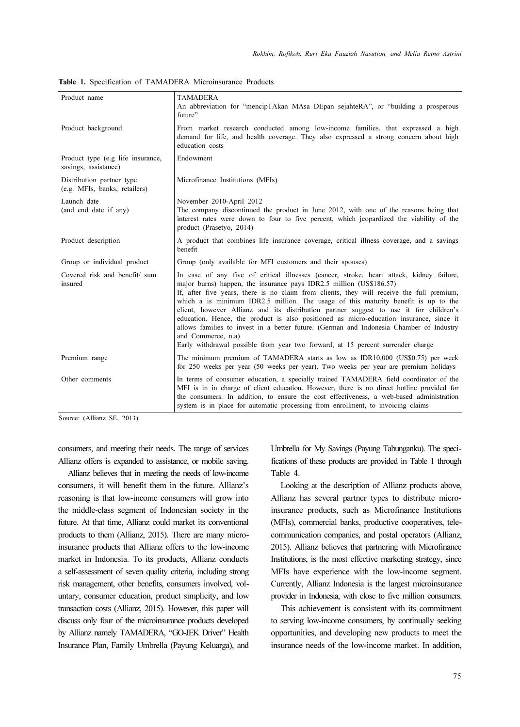| Product name                                               | <b>TAMADERA</b><br>An abbreviation for "mencipTAkan MAsa DEpan sejahteRA", or "building a prosperous<br>future"                                                                                                                                                                                                                                                                                                                                                                                                                                                                                                                                                                                                                            |  |  |  |
|------------------------------------------------------------|--------------------------------------------------------------------------------------------------------------------------------------------------------------------------------------------------------------------------------------------------------------------------------------------------------------------------------------------------------------------------------------------------------------------------------------------------------------------------------------------------------------------------------------------------------------------------------------------------------------------------------------------------------------------------------------------------------------------------------------------|--|--|--|
| Product background                                         | From market research conducted among low-income families, that expressed a high<br>demand for life, and health coverage. They also expressed a strong concern about high<br>education costs                                                                                                                                                                                                                                                                                                                                                                                                                                                                                                                                                |  |  |  |
| Product type (e.g life insurance,<br>savings, assistance)  | Endowment                                                                                                                                                                                                                                                                                                                                                                                                                                                                                                                                                                                                                                                                                                                                  |  |  |  |
| Distribution partner type<br>(e.g. MFIs, banks, retailers) | Microfinance Institutions (MFIs)                                                                                                                                                                                                                                                                                                                                                                                                                                                                                                                                                                                                                                                                                                           |  |  |  |
| Launch date<br>(and end date if any)                       | November 2010-April 2012<br>The company discontinued the product in June 2012, with one of the reasons being that<br>interest rates were down to four to five percent, which jeopardized the viability of the<br>product (Prasetyo, 2014)                                                                                                                                                                                                                                                                                                                                                                                                                                                                                                  |  |  |  |
| Product description                                        | A product that combines life insurance coverage, critical illness coverage, and a savings<br>benefit                                                                                                                                                                                                                                                                                                                                                                                                                                                                                                                                                                                                                                       |  |  |  |
| Group or individual product                                | Group (only available for MFI customers and their spouses)                                                                                                                                                                                                                                                                                                                                                                                                                                                                                                                                                                                                                                                                                 |  |  |  |
| Covered risk and benefit/ sum<br>insured                   | In case of any five of critical illnesses (cancer, stroke, heart attack, kidney failure,<br>major burns) happen, the insurance pays IDR2.5 million (US\$186.57)<br>If, after five years, there is no claim from clients, they will receive the full premium,<br>which a is minimum IDR2.5 million. The usage of this maturity benefit is up to the<br>client, however Allianz and its distribution partner suggest to use it for children's<br>education. Hence, the product is also positioned as micro-education insurance, since it<br>allows families to invest in a better future. (German and Indonesia Chamber of Industry<br>and Commerce, n.a)<br>Early withdrawal possible from year two forward, at 15 percent surrender charge |  |  |  |
| Premium range                                              | The minimum premium of TAMADERA starts as low as IDR10,000 (US\$0.75) per week<br>for 250 weeks per year (50 weeks per year). Two weeks per year are premium holidays                                                                                                                                                                                                                                                                                                                                                                                                                                                                                                                                                                      |  |  |  |
| Other comments                                             | In terms of consumer education, a specially trained TAMADERA field coordinator of the<br>MFI is in in charge of client education. However, there is no direct hotline provided for<br>the consumers. In addition, to ensure the cost effectiveness, a web-based administration<br>system is in place for automatic processing from enrollment, to invoicing claims                                                                                                                                                                                                                                                                                                                                                                         |  |  |  |

Table 1. Specification of TAMADERA Microinsurance Products

Source: (Allianz SE, 2013)

consumers, and meeting their needs. The range of services Allianz offers is expanded to assistance, or mobile saving.

Allianz believes that in meeting the needs of low-income consumers, it will benefit them in the future. Allianz's reasoning is that low-income consumers will grow into the middle-class segment of Indonesian society in the future. At that time, Allianz could market its conventional products to them (Allianz, 2015). There are many microinsurance products that Allianz offers to the low-income market in Indonesia. To its products, Allianz conducts a self-assessment of seven quality criteria, including strong risk management, other benefits, consumers involved, voluntary, consumer education, product simplicity, and low transaction costs (Allianz, 2015). However, this paper will discuss only four of the microinsurance products developed by Allianz namely TAMADERA, "GO-JEK Driver" Health Insurance Plan, Family Umbrella (Payung Keluarga), and Umbrella for My Savings (Payung Tabunganku). The specifications of these products are provided in Table 1 through Table 4.

Looking at the description of Allianz products above, Allianz has several partner types to distribute microinsurance products, such as Microfinance Institutions (MFIs), commercial banks, productive cooperatives, telecommunication companies, and postal operators (Allianz, 2015). Allianz believes that partnering with Microfinance Institutions, is the most effective marketing strategy, since MFIs have experience with the low-income segment. Currently, Allianz Indonesia is the largest microinsurance provider in Indonesia, with close to five million consumers.

This achievement is consistent with its commitment to serving low-income consumers, by continually seeking opportunities, and developing new products to meet the insurance needs of the low-income market. In addition,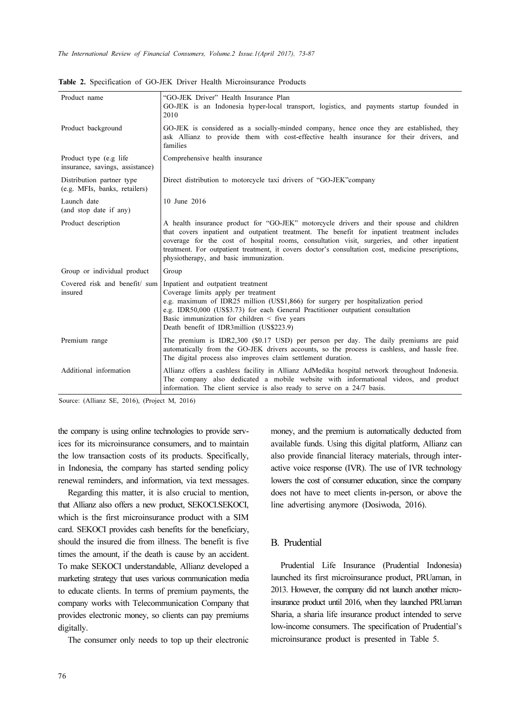| Product name                                                                                                                                                                                                                                                                                                                                                                                                                                                   | "GO-JEK Driver" Health Insurance Plan<br>GO-JEK is an Indonesia hyper-local transport, logistics, and payments startup founded in<br>2010                                                                                                                                                                                                         |  |  |  |  |  |
|----------------------------------------------------------------------------------------------------------------------------------------------------------------------------------------------------------------------------------------------------------------------------------------------------------------------------------------------------------------------------------------------------------------------------------------------------------------|---------------------------------------------------------------------------------------------------------------------------------------------------------------------------------------------------------------------------------------------------------------------------------------------------------------------------------------------------|--|--|--|--|--|
| Product background                                                                                                                                                                                                                                                                                                                                                                                                                                             | GO-JEK is considered as a socially-minded company, hence once they are established, they<br>ask Allianz to provide them with cost-effective health insurance for their drivers, and<br>families                                                                                                                                                   |  |  |  |  |  |
| Product type (e.g life)<br>insurance, savings, assistance)                                                                                                                                                                                                                                                                                                                                                                                                     | Comprehensive health insurance                                                                                                                                                                                                                                                                                                                    |  |  |  |  |  |
| Distribution partner type<br>(e.g. MFIs, banks, retailers)                                                                                                                                                                                                                                                                                                                                                                                                     | Direct distribution to motorcycle taxi drivers of "GO-JEK" company                                                                                                                                                                                                                                                                                |  |  |  |  |  |
| Launch date<br>(and stop date if any)                                                                                                                                                                                                                                                                                                                                                                                                                          | 10 June 2016                                                                                                                                                                                                                                                                                                                                      |  |  |  |  |  |
| A health insurance product for "GO-JEK" motorcycle drivers and their spouse and children<br>Product description<br>that covers inpatient and outpatient treatment. The benefit for inpatient treatment includes<br>coverage for the cost of hospital rooms, consultation visit, surgeries, and other inpatient<br>treatment. For outpatient treatment, it covers doctor's consultation cost, medicine prescriptions,<br>physiotherapy, and basic immunization. |                                                                                                                                                                                                                                                                                                                                                   |  |  |  |  |  |
| Group or individual product                                                                                                                                                                                                                                                                                                                                                                                                                                    | Group                                                                                                                                                                                                                                                                                                                                             |  |  |  |  |  |
| Covered risk and benefit/ sum<br>insured                                                                                                                                                                                                                                                                                                                                                                                                                       | Inpatient and outpatient treatment<br>Coverage limits apply per treatment<br>e.g. maximum of IDR25 million (US\$1,866) for surgery per hospitalization period<br>e.g. IDR50,000 (US\$3.73) for each General Practitioner outpatient consultation<br>Basic immunization for children $\leq$ five years<br>Death benefit of IDR3million (US\$223.9) |  |  |  |  |  |
| Premium range                                                                                                                                                                                                                                                                                                                                                                                                                                                  | The premium is IDR2,300 (\$0.17 USD) per person per day. The daily premiums are paid<br>automatically from the GO-JEK drivers accounts, so the process is cashless, and hassle free.<br>The digital process also improves claim settlement duration.                                                                                              |  |  |  |  |  |
| Additional information<br>Allianz offers a cashless facility in Allianz AdMedika hospital network throughout Indonesia.<br>The company also dedicated a mobile website with informational videos, and product<br>information. The client service is also ready to serve on a 24/7 basis.                                                                                                                                                                       |                                                                                                                                                                                                                                                                                                                                                   |  |  |  |  |  |

Table 2. Specification of GO-JEK Driver Health Microinsurance Products

Source: (Allianz SE, 2016), (Project M, 2016)

the company is using online technologies to provide services for its microinsurance consumers, and to maintain the low transaction costs of its products. Specifically, in Indonesia, the company has started sending policy renewal reminders, and information, via text messages.

Regarding this matter, it is also crucial to mention, that Allianz also offers a new product, SEKOCI.SEKOCI, which is the first microinsurance product with a SIM card. SEKOCI provides cash benefits for the beneficiary, should the insured die from illness. The benefit is five times the amount, if the death is cause by an accident. To make SEKOCI understandable, Allianz developed a marketing strategy that uses various communication media to educate clients. In terms of premium payments, the company works with Telecommunication Company that provides electronic money, so clients can pay premiums digitally.

The consumer only needs to top up their electronic

money, and the premium is automatically deducted from available funds. Using this digital platform, Allianz can also provide financial literacy materials, through interactive voice response (IVR). The use of IVR technology lowers the cost of consumer education, since the company does not have to meet clients in-person, or above the line advertising anymore (Dosiwoda, 2016).

#### B. Prudential

Prudential Life Insurance (Prudential Indonesia) launched its first microinsurance product, PRUaman, in 2013. However, the company did not launch another microinsurance product until 2016, when they launched PRUaman Sharia, a sharia life insurance product intended to serve low-income consumers. The specification of Prudential's microinsurance product is presented in Table 5.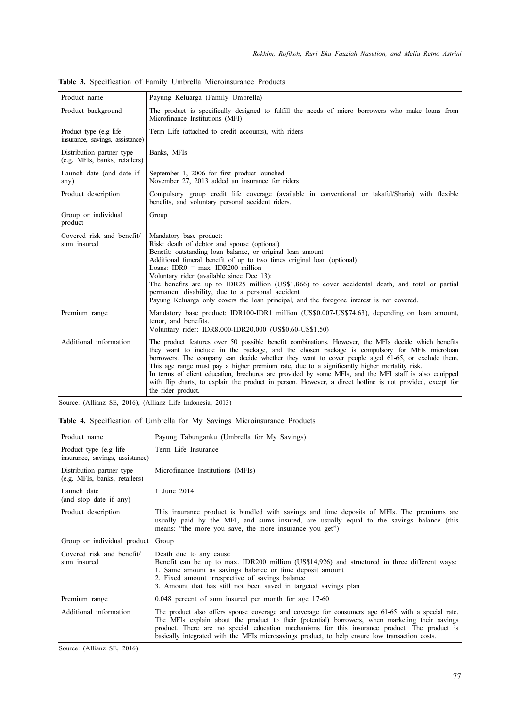| Product name                                               | Payung Keluarga (Family Umbrella)                                                                                                                                                                                                                                                                                                                                                                                                                                                                                                                                                                                                                   |  |  |  |  |  |  |  |  |  |
|------------------------------------------------------------|-----------------------------------------------------------------------------------------------------------------------------------------------------------------------------------------------------------------------------------------------------------------------------------------------------------------------------------------------------------------------------------------------------------------------------------------------------------------------------------------------------------------------------------------------------------------------------------------------------------------------------------------------------|--|--|--|--|--|--|--|--|--|
| Product background                                         | The product is specifically designed to fulfill the needs of micro borrowers who make loans from<br>Microfinance Institutions (MFI)                                                                                                                                                                                                                                                                                                                                                                                                                                                                                                                 |  |  |  |  |  |  |  |  |  |
| Product type (e.g life)<br>insurance, savings, assistance) | Term Life (attached to credit accounts), with riders                                                                                                                                                                                                                                                                                                                                                                                                                                                                                                                                                                                                |  |  |  |  |  |  |  |  |  |
| Distribution partner type<br>(e.g. MFIs, banks, retailers) | Banks, MFIs                                                                                                                                                                                                                                                                                                                                                                                                                                                                                                                                                                                                                                         |  |  |  |  |  |  |  |  |  |
| Launch date (and date if<br>any)                           | September 1, 2006 for first product launched<br>November 27, 2013 added an insurance for riders                                                                                                                                                                                                                                                                                                                                                                                                                                                                                                                                                     |  |  |  |  |  |  |  |  |  |
| Product description                                        | Compulsory group credit life coverage (available in conventional or takaful/Sharia) with flexible<br>benefits, and voluntary personal accident riders.                                                                                                                                                                                                                                                                                                                                                                                                                                                                                              |  |  |  |  |  |  |  |  |  |
| Group or individual<br>product                             | Group                                                                                                                                                                                                                                                                                                                                                                                                                                                                                                                                                                                                                                               |  |  |  |  |  |  |  |  |  |
| Covered risk and benefit/<br>sum insured                   | Mandatory base product:<br>Risk: death of debtor and spouse (optional)<br>Benefit: outstanding loan balance, or original loan amount<br>Additional funeral benefit of up to two times original loan (optional)<br>Loans: IDR0 $-$ max. IDR200 million<br>Voluntary rider (available since Dec 13):<br>The benefits are up to IDR25 million (US\$1,866) to cover accidental death, and total or partial<br>permanent disability, due to a personal accident<br>Payung Keluarga only covers the loan principal, and the foregone interest is not covered.                                                                                             |  |  |  |  |  |  |  |  |  |
| Premium range                                              | Mandatory base product: IDR100-IDR1 million (US\$0.007-US\$74.63), depending on loan amount,<br>tenor, and benefits.<br>Voluntary rider: IDR8,000-IDR20,000 (US\$0.60-US\$1.50)                                                                                                                                                                                                                                                                                                                                                                                                                                                                     |  |  |  |  |  |  |  |  |  |
| Additional information                                     | The product features over 50 possible benefit combinations. However, the MFIs decide which benefits<br>they want to include in the package, and the chosen package is compulsory for MFIs microloan<br>borrowers. The company can decide whether they want to cover people aged 61-65, or exclude them.<br>This age range must pay a higher premium rate, due to a significantly higher mortality risk.<br>In terms of client education, brochures are provided by some MFIs, and the MFI staff is also equipped<br>with flip charts, to explain the product in person. However, a direct hotline is not provided, except for<br>the rider product. |  |  |  |  |  |  |  |  |  |

Table 3. Specification of Family Umbrella Microinsurance Products

Source: (Allianz SE, 2016), (Allianz Life Indonesia, 2013)

|  |  |  |  | <b>Table 4.</b> Specification of Umbrella for My Savings Microinsurance Products |  |
|--|--|--|--|----------------------------------------------------------------------------------|--|
|  |  |  |  |                                                                                  |  |

| Product name                                               | Payung Tabunganku (Umbrella for My Savings)                                                                                                                                                                                                                                                                                                                                                             |
|------------------------------------------------------------|---------------------------------------------------------------------------------------------------------------------------------------------------------------------------------------------------------------------------------------------------------------------------------------------------------------------------------------------------------------------------------------------------------|
| Product type (e.g life)<br>insurance, savings, assistance) | Term Life Insurance                                                                                                                                                                                                                                                                                                                                                                                     |
| Distribution partner type<br>(e.g. MFIs, banks, retailers) | Microfinance Institutions (MFIs)                                                                                                                                                                                                                                                                                                                                                                        |
| Launch date<br>(and stop date if any)                      | 1 June 2014                                                                                                                                                                                                                                                                                                                                                                                             |
| Product description                                        | This insurance product is bundled with savings and time deposits of MFIs. The premiums are<br>usually paid by the MFI, and sums insured, are usually equal to the savings balance (this<br>means: "the more you save, the more insurance you get")                                                                                                                                                      |
| Group or individual product                                | Group                                                                                                                                                                                                                                                                                                                                                                                                   |
| Covered risk and benefit/<br>sum insured                   | Death due to any cause<br>Benefit can be up to max. IDR200 million (US\$14,926) and structured in three different ways:<br>1. Same amount as savings balance or time deposit amount<br>2. Fixed amount irrespective of savings balance<br>3. Amount that has still not been saved in targeted savings plan                                                                                              |
| Premium range                                              | $0.048$ percent of sum insured per month for age 17-60                                                                                                                                                                                                                                                                                                                                                  |
| Additional information                                     | The product also offers spouse coverage and coverage for consumers age 61-65 with a special rate.<br>The MFIs explain about the product to their (potential) borrowers, when marketing their savings<br>product. There are no special education mechanisms for this insurance product. The product is<br>basically integrated with the MFIs microsavings product, to help ensure low transaction costs. |

Source: (Allianz SE, 2016)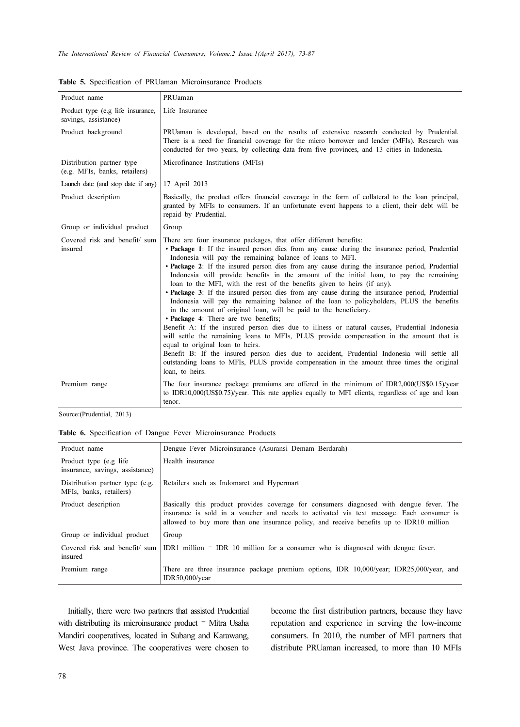| Product name                                               | PRUaman                                                                                                                                                                                                                                                                                                                                                                                                                                                                                                                                                                                                                                                                                                                                                                                                                                                                                                                                                                                                                                                                                                                                                                                                                                                             |  |  |  |  |
|------------------------------------------------------------|---------------------------------------------------------------------------------------------------------------------------------------------------------------------------------------------------------------------------------------------------------------------------------------------------------------------------------------------------------------------------------------------------------------------------------------------------------------------------------------------------------------------------------------------------------------------------------------------------------------------------------------------------------------------------------------------------------------------------------------------------------------------------------------------------------------------------------------------------------------------------------------------------------------------------------------------------------------------------------------------------------------------------------------------------------------------------------------------------------------------------------------------------------------------------------------------------------------------------------------------------------------------|--|--|--|--|
| Product type (e.g life insurance,<br>savings, assistance)  | Life Insurance                                                                                                                                                                                                                                                                                                                                                                                                                                                                                                                                                                                                                                                                                                                                                                                                                                                                                                                                                                                                                                                                                                                                                                                                                                                      |  |  |  |  |
| Product background                                         | PRUaman is developed, based on the results of extensive research conducted by Prudential.<br>There is a need for financial coverage for the micro borrower and lender (MFIs). Research was<br>conducted for two years, by collecting data from five provinces, and 13 cities in Indonesia.                                                                                                                                                                                                                                                                                                                                                                                                                                                                                                                                                                                                                                                                                                                                                                                                                                                                                                                                                                          |  |  |  |  |
| Distribution partner type<br>(e.g. MFIs, banks, retailers) | Microfinance Institutions (MFIs)                                                                                                                                                                                                                                                                                                                                                                                                                                                                                                                                                                                                                                                                                                                                                                                                                                                                                                                                                                                                                                                                                                                                                                                                                                    |  |  |  |  |
| Launch date (and stop date if any)                         | 17 April 2013                                                                                                                                                                                                                                                                                                                                                                                                                                                                                                                                                                                                                                                                                                                                                                                                                                                                                                                                                                                                                                                                                                                                                                                                                                                       |  |  |  |  |
| Product description                                        | Basically, the product offers financial coverage in the form of collateral to the loan principal,<br>granted by MFIs to consumers. If an unfortunate event happens to a client, their debt will be<br>repaid by Prudential.                                                                                                                                                                                                                                                                                                                                                                                                                                                                                                                                                                                                                                                                                                                                                                                                                                                                                                                                                                                                                                         |  |  |  |  |
| Group or individual product                                | Group                                                                                                                                                                                                                                                                                                                                                                                                                                                                                                                                                                                                                                                                                                                                                                                                                                                                                                                                                                                                                                                                                                                                                                                                                                                               |  |  |  |  |
| Covered risk and benefit/ sum<br>insured                   | There are four insurance packages, that offer different benefits:<br>• Package 1: If the insured person dies from any cause during the insurance period, Prudential<br>Indonesia will pay the remaining balance of loans to MFI.<br>• Package 2: If the insured person dies from any cause during the insurance period, Prudential<br>Indonesia will provide benefits in the amount of the initial loan, to pay the remaining<br>loan to the MFI, with the rest of the benefits given to heirs (if any).<br>• Package 3: If the insured person dies from any cause during the insurance period, Prudential<br>Indonesia will pay the remaining balance of the loan to policyholders, PLUS the benefits<br>in the amount of original loan, will be paid to the beneficiary.<br>• Package 4: There are two benefits;<br>Benefit A: If the insured person dies due to illness or natural causes, Prudential Indonesia<br>will settle the remaining loans to MFIs, PLUS provide compensation in the amount that is<br>equal to original loan to heirs.<br>Benefit B: If the insured person dies due to accident, Prudential Indonesia will settle all<br>outstanding loans to MFIs, PLUS provide compensation in the amount three times the original<br>loan, to heirs. |  |  |  |  |
| Premium range                                              | The four insurance package premiums are offered in the minimum of IDR2,000(US\$0.15)/year<br>to IDR10,000(US\$0.75)/year. This rate applies equally to MFI clients, regardless of age and loan<br>tenor.                                                                                                                                                                                                                                                                                                                                                                                                                                                                                                                                                                                                                                                                                                                                                                                                                                                                                                                                                                                                                                                            |  |  |  |  |

Table 5. Specification of PRUaman Microinsurance Products

Source:(Prudential, 2013)

Table 6. Specification of Dangue Fever Microinsurance Products

| Product name                                               | Dengue Fever Microinsurance (Asuransi Demam Berdarah)                                                                                                                                                                                                                          |  |  |  |  |
|------------------------------------------------------------|--------------------------------------------------------------------------------------------------------------------------------------------------------------------------------------------------------------------------------------------------------------------------------|--|--|--|--|
| Product type (e.g life)<br>insurance, savings, assistance) | Health insurance                                                                                                                                                                                                                                                               |  |  |  |  |
| Distribution partner type (e.g.<br>MFIs, banks, retailers) | Retailers such as Indomaret and Hypermart                                                                                                                                                                                                                                      |  |  |  |  |
| Product description                                        | Basically this product provides coverage for consumers diagnosed with dengue fever. The<br>insurance is sold in a voucher and needs to activated via text message. Each consumer is<br>allowed to buy more than one insurance policy, and receive benefits up to IDR10 million |  |  |  |  |
| Group or individual product                                | Group                                                                                                                                                                                                                                                                          |  |  |  |  |
| Covered risk and benefit/ sum<br>insured                   | IDR1 million - IDR 10 million for a consumer who is diagnosed with dengue fever.                                                                                                                                                                                               |  |  |  |  |
| Premium range                                              | There are three insurance package premium options, IDR 10,000/year, IDR25,000/year, and<br>IDR50,000/year                                                                                                                                                                      |  |  |  |  |

Initially, there were two partners that assisted Prudential with distributing its microinsurance product - Mitra Usaha Mandiri cooperatives, located in Subang and Karawang, West Java province. The cooperatives were chosen to become the first distribution partners, because they have reputation and experience in serving the low-income consumers. In 2010, the number of MFI partners that distribute PRUaman increased, to more than 10 MFIs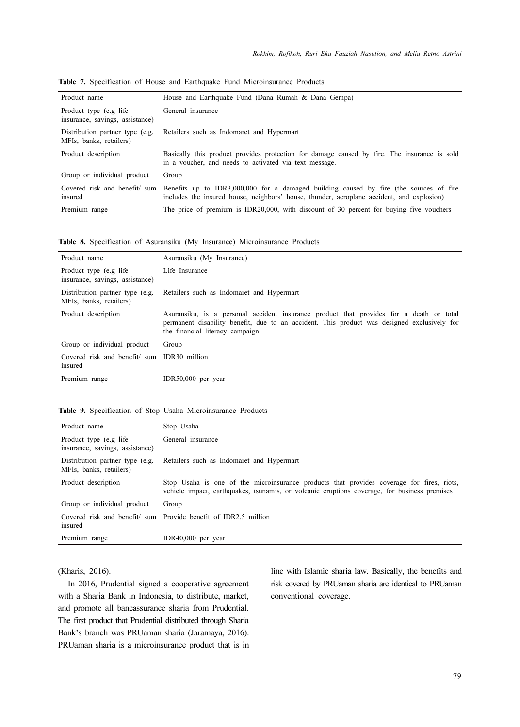| Product name                                               | House and Earthquake Fund (Dana Rumah & Dana Gempa)                                                                                                                                 |
|------------------------------------------------------------|-------------------------------------------------------------------------------------------------------------------------------------------------------------------------------------|
| Product type (e.g life)<br>insurance, savings, assistance) | General insurance                                                                                                                                                                   |
| Distribution partner type (e.g.<br>MFIs, banks, retailers) | Retailers such as Indomaret and Hypermart                                                                                                                                           |
| Product description                                        | Basically this product provides protection for damage caused by fire. The insurance is sold<br>in a voucher, and needs to activated via text message.                               |
| Group or individual product                                | Group                                                                                                                                                                               |
| Covered risk and benefit/ sum<br>insured                   | Benefits up to IDR3,000,000 for a damaged building caused by fire (the sources of fire<br>includes the insured house, neighbors' house, thunder, aeroplane accident, and explosion) |
| Premium range                                              | The price of premium is IDR20,000, with discount of 30 percent for buying five vouchers                                                                                             |

Table 7. Specification of House and Earthquake Fund Microinsurance Products

Table 8. Specification of Asuransiku (My Insurance) Microinsurance Products

| Product name                                                                                            | Asuransiku (My Insurance)                                                                                                                                                                                                 |  |  |  |  |
|---------------------------------------------------------------------------------------------------------|---------------------------------------------------------------------------------------------------------------------------------------------------------------------------------------------------------------------------|--|--|--|--|
| Product type (e.g life)<br>insurance, savings, assistance)                                              | Life Insurance                                                                                                                                                                                                            |  |  |  |  |
| Distribution partner type (e.g.<br>Retailers such as Indomaret and Hypermart<br>MFIs, banks, retailers) |                                                                                                                                                                                                                           |  |  |  |  |
| Product description                                                                                     | Asuransiku, is a personal accident insurance product that provides for a death or total<br>permanent disability benefit, due to an accident. This product was designed exclusively for<br>the financial literacy campaign |  |  |  |  |
| Group or individual product                                                                             | Group                                                                                                                                                                                                                     |  |  |  |  |
| Covered risk and benefit/sum<br>insured                                                                 | IDR30 million                                                                                                                                                                                                             |  |  |  |  |
| Premium range                                                                                           | IDR50,000 per year                                                                                                                                                                                                        |  |  |  |  |

|  |  | Table 9. Specification of Stop Usaha Microinsurance Products |  |
|--|--|--------------------------------------------------------------|--|
|  |  |                                                              |  |

| Product name                                               | Stop Usaha                                                                                                                                                                                |  |  |  |  |
|------------------------------------------------------------|-------------------------------------------------------------------------------------------------------------------------------------------------------------------------------------------|--|--|--|--|
| Product type (e.g life)<br>insurance, savings, assistance) | General insurance                                                                                                                                                                         |  |  |  |  |
| Distribution partner type (e.g.<br>MFIs, banks, retailers) | Retailers such as Indomaret and Hypermart                                                                                                                                                 |  |  |  |  |
| Product description                                        | Stop Usaha is one of the microinsurance products that provides coverage for fires, riots,<br>vehicle impact, earthquakes, tsunamis, or volcanic eruptions coverage, for business premises |  |  |  |  |
| Group or individual product                                | Group                                                                                                                                                                                     |  |  |  |  |
| Covered risk and benefit/sum<br>insured                    | Provide benefit of IDR2.5 million                                                                                                                                                         |  |  |  |  |
| Premium range                                              | IDR40,000 per year                                                                                                                                                                        |  |  |  |  |

(Kharis, 2016).

In 2016, Prudential signed a cooperative agreement with a Sharia Bank in Indonesia, to distribute, market, and promote all bancassurance sharia from Prudential. The first product that Prudential distributed through Sharia Bank's branch was PRUaman sharia (Jaramaya, 2016). PRUaman sharia is a microinsurance product that is in line with Islamic sharia law. Basically, the benefits and risk covered by PRUaman sharia are identical to PRUaman conventional coverage.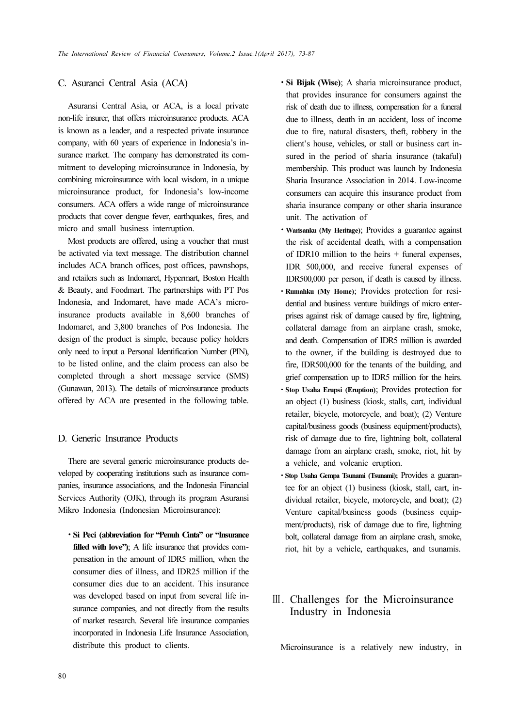### C. Asuranci Central Asia (ACA)

Asuransi Central Asia, or ACA, is a local private non-life insurer, that offers microinsurance products. ACA is known as a leader, and a respected private insurance company, with 60 years of experience in Indonesia's insurance market. The company has demonstrated its commitment to developing microinsurance in Indonesia, by combining microinsurance with local wisdom, in a unique microinsurance product, for Indonesia's low-income consumers. ACA offers a wide range of microinsurance products that cover dengue fever, earthquakes, fires, and micro and small business interruption.

Most products are offered, using a voucher that must be activated via text message. The distribution channel includes ACA branch offices, post offices, pawnshops, and retailers such as Indomaret, Hypermart, Boston Health & Beauty, and Foodmart. The partnerships with PT Pos Indonesia, and Indomaret, have made ACA's microinsurance products available in 8,600 branches of Indomaret, and 3,800 branches of Pos Indonesia. The design of the product is simple, because policy holders only need to input a Personal Identification Number (PIN), to be listed online, and the claim process can also be completed through a short message service (SMS) (Gunawan, 2013). The details of microinsurance products offered by ACA are presented in the following table.

### D. Generic Insurance Products

There are several generic microinsurance products developed by cooperating institutions such as insurance companies, insurance associations, and the Indonesia Financial Services Authority (OJK), through its program Asuransi Mikro Indonesia (Indonesian Microinsurance):

 Si Peci (abbreviation for "Penuh Cinta" or "Insurance filled with love"); A life insurance that provides compensation in the amount of IDR5 million, when the consumer dies of illness, and IDR25 million if the consumer dies due to an accident. This insurance was developed based on input from several life insurance companies, and not directly from the results of market research. Several life insurance companies incorporated in Indonesia Life Insurance Association, distribute this product to clients.

- Si Bijak (Wise); A sharia microinsurance product, that provides insurance for consumers against the risk of death due to illness, compensation for a funeral due to illness, death in an accident, loss of income due to fire, natural disasters, theft, robbery in the client's house, vehicles, or stall or business cart insured in the period of sharia insurance (takaful) membership. This product was launch by Indonesia Sharia Insurance Association in 2014. Low-income consumers can acquire this insurance product from sharia insurance company or other sharia insurance unit. The activation of
- Warisanku (My Heritage); Provides a guarantee against the risk of accidental death, with a compensation of IDR10 million to the heirs  $+$  funeral expenses, IDR 500,000, and receive funeral expenses of IDR500,000 per person, if death is caused by illness.
- Rumahku (My Home); Provides protection for residential and business venture buildings of micro enterprises against risk of damage caused by fire, lightning, collateral damage from an airplane crash, smoke, and death. Compensation of IDR5 million is awarded to the owner, if the building is destroyed due to fire, IDR500,000 for the tenants of the building, and grief compensation up to IDR5 million for the heirs.
- Stop Usaha Erupsi (Eruption); Provides protection for an object (1) business (kiosk, stalls, cart, individual retailer, bicycle, motorcycle, and boat); (2) Venture capital/business goods (business equipment/products), risk of damage due to fire, lightning bolt, collateral damage from an airplane crash, smoke, riot, hit by a vehicle, and volcanic eruption.
- Stop Usaha Gempa Tsunami (Tsunami); Provides a guarantee for an object (1) business (kiosk, stall, cart, individual retailer, bicycle, motorcycle, and boat); (2) Venture capital/business goods (business equipment/products), risk of damage due to fire, lightning bolt, collateral damage from an airplane crash, smoke, riot, hit by a vehicle, earthquakes, and tsunamis.

## Ⅲ. Challenges for the Microinsurance Industry in Indonesia

Microinsurance is a relatively new industry, in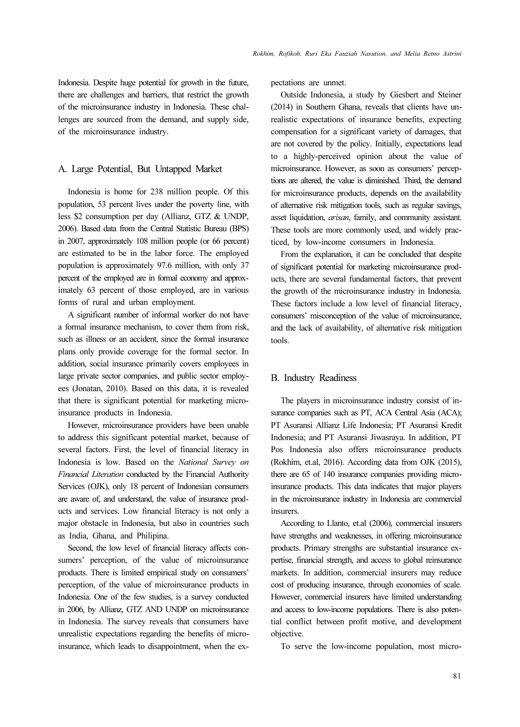Indonesia. Despite huge potential for growth in the future, there are challenges and barriers, that restrict the growth of the microinsurance industry in Indonesia. These challenges are sourced from the demand, and supply side, of the microinsurance industry.

### A. Large Potential, But Untapped Market

Indonesia is home for 238 million people. Of this population, 53 percent lives under the poverty line, with less \$2 consumption per day (Allianz, GTZ & UNDP, 2006). Based data from the Central Statistic Bureau (BPS) in 2007, approximately 108 million people (or 66 percent) are estimated to be in the labor force. The employed population is approximately 97.6 million, with only 37 percent of the employed are in formal economy and approximately 63 percent of those employed, are in various forms of rural and urban employment.

A significant number of informal worker do not have a formal insurance mechanism, to cover them from risk, such as illness or an accident, since the formal insurance plans only provide coverage for the formal sector. In addition, social insurance primarily covers employees in large private sector companies, and public sector employees (Jonatan, 2010). Based on this data, it is revealed that there is significant potential for marketing microinsurance products in Indonesia.

However, microinsurance providers have been unable to address this significant potential market, because of several factors. First, the level of financial literacy in Indonesia is low. Based on the National Survey on Financial Literation conducted by the Financial Authority Services (OJK), only 18 percent of Indonesian consumers are aware of, and understand, the value of insurance products and services. Low financial literacy is not only a major obstacle in Indonesia, but also in countries such as India, Ghana, and Philipina.

Second, the low level of financial literacy affects consumers' perception, of the value of microinsurance products. There is limited empirical study on consumers' perception, of the value of microinsurance products in Indonesia. One of the few studies, is a survey conducted in 2006, by Allianz, GTZ AND UNDP on microinsurance in Indonesia. The survey reveals that consumers have unrealistic expectations regarding the benefits of microinsurance, which leads to disappointment, when the expectations are unmet.

Outside Indonesia, a study by Giesbert and Steiner (2014) in Southern Ghana, reveals that clients have unrealistic expectations of insurance benefits, expecting compensation for a significant variety of damages, that are not covered by the policy. Initially, expectations lead to a highly-perceived opinion about the value of microinsurance. However, as soon as consumers' perceptions are altered, the value is diminished. Third, the demand for microinsurance products, depends on the availability of alternative risk mitigation tools, such as regular savings, asset liquidation, arisan, family, and community assistant. These tools are more commonly used, and widely practiced, by low-income consumers in Indonesia.

From the explanation, it can be concluded that despite of significant potential for marketing microinsurance products, there are several fundamental factors, that prevent the growth of the microinsurance industry in Indonesia. These factors include a low level of financial literacy, consumers' misconception of the value of microinsurance, and the lack of availability, of alternative risk mitigation tools.

#### B. Industry Readiness

The players in microinsurance industry consist of insurance companies such as PT, ACA Central Asia (ACA); PT Asuransi Allianz Life Indonesia; PT Asuransi Kredit Indonesia; and PT Asuransi Jiwasraya. In addition, PT Pos Indonesia also offers microinsurance products (Rokhim, et.al, 2016). According data from OJK (2015), there are 65 of 140 insurance companies providing microinsurance products. This data indicates that major players in the microinsurance industry in Indonesia are commercial insurers.

According to Llanto, et.al (2006), commercial insurers have strengths and weaknesses, in offering microinsurance products. Primary strengths are substantial insurance expertise, financial strength, and access to global reinsurance markets. In addition, commercial insurers may reduce cost of producing insurance, through economies of scale. However, commercial insurers have limited understanding and access to low-income populations. There is also potential conflict between profit motive, and development objective.

To serve the low-income population, most micro-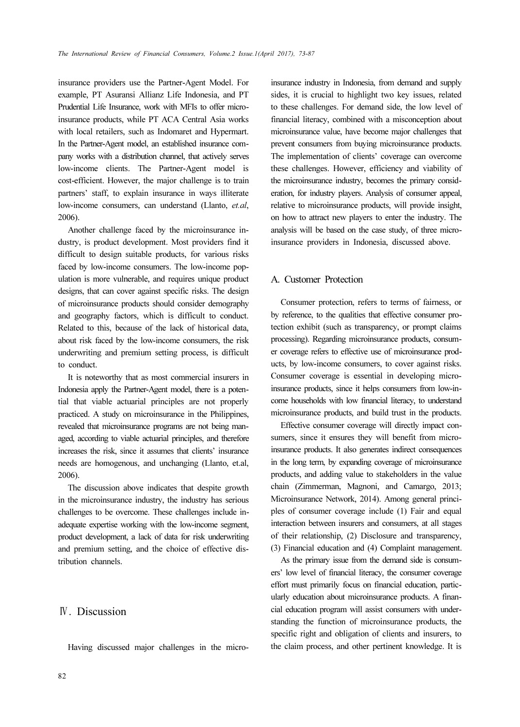insurance providers use the Partner-Agent Model. For example, PT Asuransi Allianz Life Indonesia, and PT Prudential Life Insurance, work with MFIs to offer microinsurance products, while PT ACA Central Asia works with local retailers, such as Indomaret and Hypermart. In the Partner-Agent model, an established insurance company works with a distribution channel, that actively serves low-income clients. The Partner-Agent model is cost-efficient. However, the major challenge is to train partners' staff, to explain insurance in ways illiterate low-income consumers, can understand (Llanto, et.al, 2006).

Another challenge faced by the microinsurance industry, is product development. Most providers find it difficult to design suitable products, for various risks faced by low-income consumers. The low-income population is more vulnerable, and requires unique product designs, that can cover against specific risks. The design of microinsurance products should consider demography and geography factors, which is difficult to conduct. Related to this, because of the lack of historical data, about risk faced by the low-income consumers, the risk underwriting and premium setting process, is difficult to conduct.

It is noteworthy that as most commercial insurers in Indonesia apply the Partner-Agent model, there is a potential that viable actuarial principles are not properly practiced. A study on microinsurance in the Philippines, revealed that microinsurance programs are not being managed, according to viable actuarial principles, and therefore increases the risk, since it assumes that clients' insurance needs are homogenous, and unchanging (Llanto, et.al, 2006).

The discussion above indicates that despite growth in the microinsurance industry, the industry has serious challenges to be overcome. These challenges include inadequate expertise working with the low-income segment, product development, a lack of data for risk underwriting and premium setting, and the choice of effective distribution channels.

## Ⅳ. Discussion

Having discussed major challenges in the micro-

insurance industry in Indonesia, from demand and supply sides, it is crucial to highlight two key issues, related to these challenges. For demand side, the low level of financial literacy, combined with a misconception about microinsurance value, have become major challenges that prevent consumers from buying microinsurance products. The implementation of clients' coverage can overcome these challenges. However, efficiency and viability of the microinsurance industry, becomes the primary consideration, for industry players. Analysis of consumer appeal, relative to microinsurance products, will provide insight, on how to attract new players to enter the industry. The analysis will be based on the case study, of three microinsurance providers in Indonesia, discussed above.

### A. Customer Protection

Consumer protection, refers to terms of fairness, or by reference, to the qualities that effective consumer protection exhibit (such as transparency, or prompt claims processing). Regarding microinsurance products, consumer coverage refers to effective use of microinsurance products, by low-income consumers, to cover against risks. Consumer coverage is essential in developing microinsurance products, since it helps consumers from low-income households with low financial literacy, to understand microinsurance products, and build trust in the products.

Effective consumer coverage will directly impact consumers, since it ensures they will benefit from microinsurance products. It also generates indirect consequences in the long term, by expanding coverage of microinsurance products, and adding value to stakeholders in the value chain (Zimmerman, Magnoni, and Camargo, 2013; Microinsurance Network, 2014). Among general principles of consumer coverage include (1) Fair and equal interaction between insurers and consumers, at all stages of their relationship, (2) Disclosure and transparency, (3) Financial education and (4) Complaint management.

As the primary issue from the demand side is consumers' low level of financial literacy, the consumer coverage effort must primarily focus on financial education, particularly education about microinsurance products. A financial education program will assist consumers with understanding the function of microinsurance products, the specific right and obligation of clients and insurers, to the claim process, and other pertinent knowledge. It is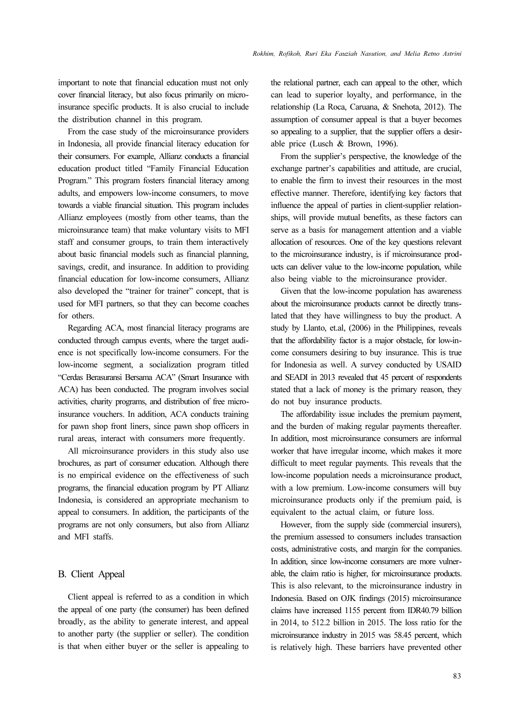important to note that financial education must not only cover financial literacy, but also focus primarily on microinsurance specific products. It is also crucial to include the distribution channel in this program.

From the case study of the microinsurance providers in Indonesia, all provide financial literacy education for their consumers. For example, Allianz conducts a financial education product titled "Family Financial Education Program." This program fosters financial literacy among adults, and empowers low-income consumers, to move towards a viable financial situation. This program includes Allianz employees (mostly from other teams, than the microinsurance team) that make voluntary visits to MFI staff and consumer groups, to train them interactively about basic financial models such as financial planning, savings, credit, and insurance. In addition to providing financial education for low-income consumers, Allianz also developed the "trainer for trainer" concept, that is used for MFI partners, so that they can become coaches for others.

Regarding ACA, most financial literacy programs are conducted through campus events, where the target audience is not specifically low-income consumers. For the low-income segment, a socialization program titled "Cerdas Berasuransi Bersama ACA" (Smart Insurance with ACA) has been conducted. The program involves social activities, charity programs, and distribution of free microinsurance vouchers. In addition, ACA conducts training for pawn shop front liners, since pawn shop officers in rural areas, interact with consumers more frequently.

All microinsurance providers in this study also use brochures, as part of consumer education. Although there is no empirical evidence on the effectiveness of such programs, the financial education program by PT Allianz Indonesia, is considered an appropriate mechanism to appeal to consumers. In addition, the participants of the programs are not only consumers, but also from Allianz and MFI staffs.

### B. Client Appeal

Client appeal is referred to as a condition in which the appeal of one party (the consumer) has been defined broadly, as the ability to generate interest, and appeal to another party (the supplier or seller). The condition is that when either buyer or the seller is appealing to the relational partner, each can appeal to the other, which can lead to superior loyalty, and performance, in the relationship (La Roca, Caruana, & Snehota, 2012). The assumption of consumer appeal is that a buyer becomes so appealing to a supplier, that the supplier offers a desirable price (Lusch & Brown, 1996).

From the supplier's perspective, the knowledge of the exchange partner's capabilities and attitude, are crucial, to enable the firm to invest their resources in the most effective manner. Therefore, identifying key factors that influence the appeal of parties in client-supplier relationships, will provide mutual benefits, as these factors can serve as a basis for management attention and a viable allocation of resources. One of the key questions relevant to the microinsurance industry, is if microinsurance products can deliver value to the low-income population, while also being viable to the microinsurance provider.

Given that the low-income population has awareness about the microinsurance products cannot be directly translated that they have willingness to buy the product. A study by Llanto, et.al, (2006) in the Philippines, reveals that the affordability factor is a major obstacle, for low-income consumers desiring to buy insurance. This is true for Indonesia as well. A survey conducted by USAID and SEADI in 2013 revealed that 45 percent of respondents stated that a lack of money is the primary reason, they do not buy insurance products.

The affordability issue includes the premium payment, and the burden of making regular payments thereafter. In addition, most microinsurance consumers are informal worker that have irregular income, which makes it more difficult to meet regular payments. This reveals that the low-income population needs a microinsurance product, with a low premium. Low-income consumers will buy microinsurance products only if the premium paid, is equivalent to the actual claim, or future loss.

However, from the supply side (commercial insurers), the premium assessed to consumers includes transaction costs, administrative costs, and margin for the companies. In addition, since low-income consumers are more vulnerable, the claim ratio is higher, for microinsurance products. This is also relevant, to the microinsurance industry in Indonesia. Based on OJK findings (2015) microinsurance claims have increased 1155 percent from IDR40.79 billion in 2014, to 512.2 billion in 2015. The loss ratio for the microinsurance industry in 2015 was 58.45 percent, which is relatively high. These barriers have prevented other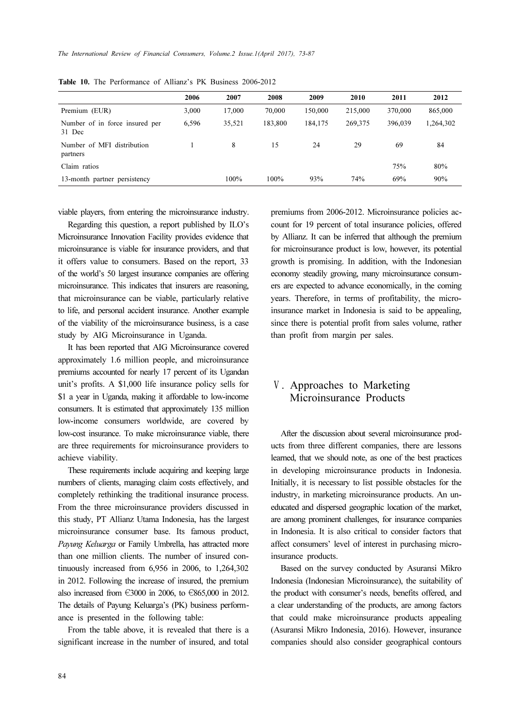| 2006  | 2007   | 2008    | 2009    | 2010    | 2011    | 2012      |
|-------|--------|---------|---------|---------|---------|-----------|
| 3,000 | 17,000 | 70,000  | 150,000 | 215,000 | 370,000 | 865,000   |
| 6,596 | 35,521 | 183.800 | 184,175 | 269,375 | 396,039 | 1,264,302 |
|       | 8      | 15      | 24      | 29      | 69      | 84        |
|       |        |         |         |         | 75%     | 80%       |
|       | 100%   | 100%    | 93%     | 74%     | 69%     | 90%       |
|       |        |         |         |         |         |           |

Table 10. The Performance of Allianz's PK Business 2006-2012

viable players, from entering the microinsurance industry.

Regarding this question, a report published by ILO's Microinsurance Innovation Facility provides evidence that microinsurance is viable for insurance providers, and that it offers value to consumers. Based on the report, 33 of the world's 50 largest insurance companies are offering microinsurance. This indicates that insurers are reasoning, that microinsurance can be viable, particularly relative to life, and personal accident insurance. Another example of the viability of the microinsurance business, is a case study by AIG Microinsurance in Uganda.

It has been reported that AIG Microinsurance covered approximately 1.6 million people, and microinsurance premiums accounted for nearly 17 percent of its Ugandan unit's profits. A \$1,000 life insurance policy sells for \$1 a year in Uganda, making it affordable to low-income consumers. It is estimated that approximately 135 million low-income consumers worldwide, are covered by low-cost insurance. To make microinsurance viable, there are three requirements for microinsurance providers to achieve viability.

These requirements include acquiring and keeping large numbers of clients, managing claim costs effectively, and completely rethinking the traditional insurance process. From the three microinsurance providers discussed in this study, PT Allianz Utama Indonesia, has the largest microinsurance consumer base. Its famous product, Payung Keluarga or Family Umbrella, has attracted more than one million clients. The number of insured continuously increased from 6,956 in 2006, to 1,264,302 in 2012. Following the increase of insured, the premium also increased from €3000 in 2006, to €865,000 in 2012. The details of Payung Keluarga's (PK) business performance is presented in the following table:

From the table above, it is revealed that there is a significant increase in the number of insured, and total premiums from 2006-2012. Microinsurance policies account for 19 percent of total insurance policies, offered by Allianz. It can be inferred that although the premium for microinsurance product is low, however, its potential growth is promising. In addition, with the Indonesian economy steadily growing, many microinsurance consumers are expected to advance economically, in the coming years. Therefore, in terms of profitability, the microinsurance market in Indonesia is said to be appealing, since there is potential profit from sales volume, rather than profit from margin per sales.

## Ⅴ. Approaches to Marketing Microinsurance Products

After the discussion about several microinsurance products from three different companies, there are lessons learned, that we should note, as one of the best practices in developing microinsurance products in Indonesia. Initially, it is necessary to list possible obstacles for the industry, in marketing microinsurance products. An uneducated and dispersed geographic location of the market, are among prominent challenges, for insurance companies in Indonesia. It is also critical to consider factors that affect consumers' level of interest in purchasing microinsurance products.

Based on the survey conducted by Asuransi Mikro Indonesia (Indonesian Microinsurance), the suitability of the product with consumer's needs, benefits offered, and a clear understanding of the products, are among factors that could make microinsurance products appealing (Asuransi Mikro Indonesia, 2016). However, insurance companies should also consider geographical contours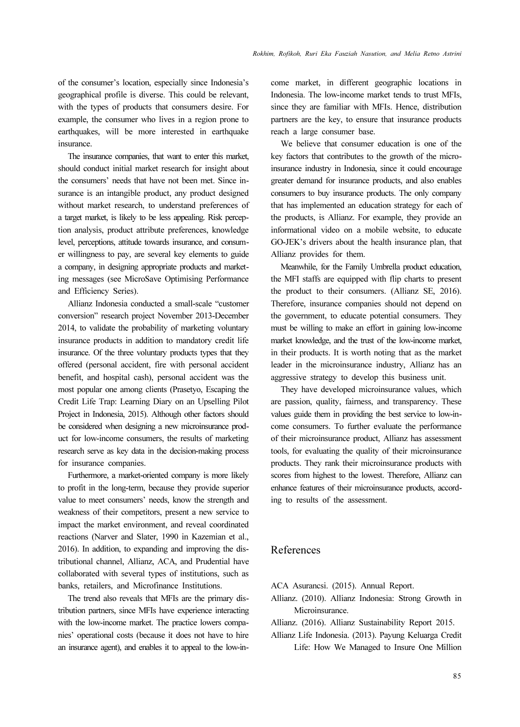of the consumer's location, especially since Indonesia's geographical profile is diverse. This could be relevant, with the types of products that consumers desire. For example, the consumer who lives in a region prone to earthquakes, will be more interested in earthquake insurance.

The insurance companies, that want to enter this market, should conduct initial market research for insight about the consumers' needs that have not been met. Since insurance is an intangible product, any product designed without market research, to understand preferences of a target market, is likely to be less appealing. Risk perception analysis, product attribute preferences, knowledge level, perceptions, attitude towards insurance, and consumer willingness to pay, are several key elements to guide a company, in designing appropriate products and marketing messages (see MicroSave Optimising Performance and Efficiency Series).

Allianz Indonesia conducted a small-scale "customer conversion" research project November 2013-December 2014, to validate the probability of marketing voluntary insurance products in addition to mandatory credit life insurance. Of the three voluntary products types that they offered (personal accident, fire with personal accident benefit, and hospital cash), personal accident was the most popular one among clients (Prasetyo, Escaping the Credit Life Trap: Learning Diary on an Upselling Pilot Project in Indonesia, 2015). Although other factors should be considered when designing a new microinsurance product for low-income consumers, the results of marketing research serve as key data in the decision-making process for insurance companies.

Furthermore, a market-oriented company is more likely to profit in the long-term, because they provide superior value to meet consumers' needs, know the strength and weakness of their competitors, present a new service to impact the market environment, and reveal coordinated reactions (Narver and Slater, 1990 in Kazemian et al., 2016). In addition, to expanding and improving the distributional channel, Allianz, ACA, and Prudential have collaborated with several types of institutions, such as banks, retailers, and Microfinance Institutions.

The trend also reveals that MFIs are the primary distribution partners, since MFIs have experience interacting with the low-income market. The practice lowers companies' operational costs (because it does not have to hire an insurance agent), and enables it to appeal to the low-income market, in different geographic locations in Indonesia. The low-income market tends to trust MFIs, since they are familiar with MFIs. Hence, distribution partners are the key, to ensure that insurance products reach a large consumer base.

We believe that consumer education is one of the key factors that contributes to the growth of the microinsurance industry in Indonesia, since it could encourage greater demand for insurance products, and also enables consumers to buy insurance products. The only company that has implemented an education strategy for each of the products, is Allianz. For example, they provide an informational video on a mobile website, to educate GO-JEK's drivers about the health insurance plan, that Allianz provides for them.

Meanwhile, for the Family Umbrella product education, the MFI staffs are equipped with flip charts to present the product to their consumers. (Allianz SE, 2016). Therefore, insurance companies should not depend on the government, to educate potential consumers. They must be willing to make an effort in gaining low-income market knowledge, and the trust of the low-income market, in their products. It is worth noting that as the market leader in the microinsurance industry, Allianz has an aggressive strategy to develop this business unit.

They have developed microinsurance values, which are passion, quality, fairness, and transparency. These values guide them in providing the best service to low-income consumers. To further evaluate the performance of their microinsurance product, Allianz has assessment tools, for evaluating the quality of their microinsurance products. They rank their microinsurance products with scores from highest to the lowest. Therefore, Allianz can enhance features of their microinsurance products, according to results of the assessment.

### References

ACA Asurancsi. (2015). Annual Report.

- Allianz. (2010). Allianz Indonesia: Strong Growth in Microinsurance.
- Allianz. (2016). Allianz Sustainability Report 2015.
- Allianz Life Indonesia. (2013). Payung Keluarga Credit Life: How We Managed to Insure One Million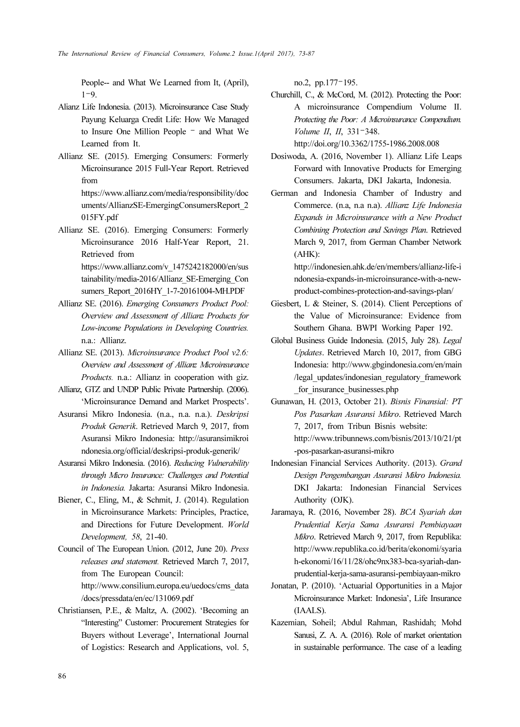People-- and What We Learned from It, (April),  $1-9.$ 

- Alianz Life Indonesia. (2013). Microinsurance Case Study Payung Keluarga Credit Life: How We Managed to Insure One Million People – and What We Learned from It.
- Allianz SE. (2015). Emerging Consumers: Formerly Microinsurance 2015 Full-Year Report. Retrieved from https://www.allianz.com/media/responsibility/doc

uments/AllianzSE-EmergingConsumersReport\_2 015FY.pdf

Allianz SE. (2016). Emerging Consumers: Formerly Microinsurance 2016 Half-Year Report, 21. Retrieved from https://www.allianz.com/v\_1475242182000/en/sus tainability/media-2016/Allianz\_SE-Emerging\_Con

sumers\_Report\_2016HY\_1-7-20161004-MH.PDF

- Allianz SE. (2016). Emerging Consumers Product Pool: Overview and Assessment of Allianz Products for Low-income Populations in Developing Countries. n.a.: Allianz.
- Allianz SE. (2013). Microinsurance Product Pool v2.6: Overview and Assessment of Allianz Microinsurance Products. n.a.: Allianz in cooperation with giz.
- Allianz, GTZ and UNDP Public Private Partnership. (2006). 'Microinsurance Demand and Market Prospects'.
- Asuransi Mikro Indonesia. (n.a., n.a. n.a.). Deskripsi Produk Generik. Retrieved March 9, 2017, from Asuransi Mikro Indonesia: http://asuransimikroi ndonesia.org/official/deskripsi-produk-generik/
- Asuransi Mikro Indonesia. (2016). Reducing Vulnerability through Micro Insurance: Challenges and Potential in Indonesia. Jakarta: Asuransi Mikro Indonesia.
- Biener, C., Eling, M., & Schmit, J. (2014). Regulation in Microinsurance Markets: Principles, Practice, and Directions for Future Development. World Development, 58, 21-40.
- Council of The European Union. (2012, June 20). Press releases and statement. Retrieved March 7, 2017, from The European Council: http://www.consilium.europa.eu/uedocs/cms\_data /docs/pressdata/en/ec/131069.pdf
- Christiansen, P.E., & Maltz, A. (2002). 'Becoming an "Interesting" Customer: Procurement Strategies for Buyers without Leverage', International Journal of Logistics: Research and Applications, vol. 5,

no.2, pp.177–195.

Churchill, C., & McCord, M. (2012). Protecting the Poor: A microinsurance Compendium Volume II. Protecting the Poor: A Microinsurance Compendium. Volume II, II, 331–348. http://doi.org/10.3362/1755-1986.2008.008

Dosiwoda, A. (2016, November 1). Allianz Life Leaps Forward with Innovative Products for Emerging

Consumers. Jakarta, DKI Jakarta, Indonesia.

German and Indonesia Chamber of Industry and Commerce. (n.a, n.a n.a). Allianz Life Indonesia Expands in Microinsurance with a New Product Combining Protection and Savings Plan. Retrieved March 9, 2017, from German Chamber Network (AHK):

http://indonesien.ahk.de/en/members/allianz-life-i ndonesia-expands-in-microinsurance-with-a-newproduct-combines-protection-and-savings-plan/

- Giesbert, L & Steiner, S. (2014). Client Perceptions of the Value of Microinsurance: Evidence from Southern Ghana. BWPI Working Paper 192.
- Global Business Guide Indonesia. (2015, July 28). Legal Updates. Retrieved March 10, 2017, from GBG Indonesia: http://www.gbgindonesia.com/en/main /legal\_updates/indonesian\_regulatory\_framework for insurance businesses.php
- Gunawan, H. (2013, October 21). Bisnis Finansial: PT Pos Pasarkan Asuransi Mikro. Retrieved March 7, 2017, from Tribun Bisnis website: http://www.tribunnews.com/bisnis/2013/10/21/pt -pos-pasarkan-asuransi-mikro
- Indonesian Financial Services Authority. (2013). Grand Design Pengembangan Asuransi Mikro Indonesia. DKI Jakarta: Indonesian Financial Services Authority (OJK).
- Jaramaya, R. (2016, November 28). BCA Syariah dan Prudential Kerja Sama Asuransi Pembiayaan Mikro. Retrieved March 9, 2017, from Republika: http://www.republika.co.id/berita/ekonomi/syaria h-ekonomi/16/11/28/ohc9nx383-bca-syariah-danprudential-kerja-sama-asuransi-pembiayaan-mikro
- Jonatan, P. (2010). 'Actuarial Opportunities in a Major Microinsurance Market: Indonesia', Life Insurance (IAALS).
- Kazemian, Soheil; Abdul Rahman, Rashidah; Mohd Sanusi, Z. A. A. (2016). Role of market orientation in sustainable performance. The case of a leading